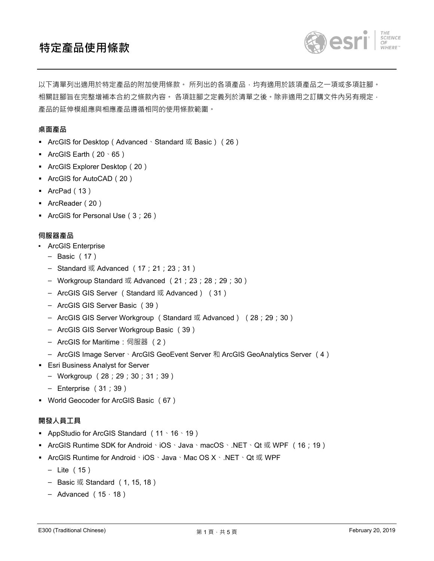# **特定產品使用條款**



以下清單列出適用於特定產品的附加使用條款。 所列出的各項產品‧均有適用於該項產品之一項或多項註腳。 相關註腳旨在完整增補本合約之條款內容。 各項註腳之定義列於清單之後。除非適用之訂購文件內另有規定, 產品的延伸模組應與相應產品遵循相同的使用條款範圍。

### **桌面產品**

- ArcGIS for Desktop (Advanced、Standard 或 Basic) (26)
- **•** ArcGIS Earth ( $20 \cdot 65$ )
- ArcGIS Explorer Desktop(20)
- ArcGIS for AutoCAD(20)
- ArcPad (13)
- ArcReader (20)
- ArcGIS for Personal Use (3;26)

#### **伺服器產品**

- ArcGIS Enterprise
	- Basic (17)
	- Standard 或 Advanced (17; 21; 23; 31)
	- Workgroup Standard 或 Advanced (21;23;28;29;30)
	- ArcGIS GIS Server (Standard 或 Advanced) (31)
	- ArcGIS GIS Server Basic (39)
	- ArcGIS GIS Server Workgroup (Standard 或 Advanced) (28;29;30)
	- ArcGIS GIS Server Workgroup Basic (39)
	- ArcGIS for Maritime: 伺服器 (2)
	- ArcGIS Image Server、ArcGIS GeoEvent Server 和 ArcGIS GeoAnalytics Server (4)
- Esri Business Analyst for Server
	- Workgroup (28;29;30;31;39)
	- Enterprise (31;39)
- World Geocoder for ArcGIS Basic (67)

#### **開發人員工具**

- **•** AppStudio for ArcGIS Standard ( $11 \cdot 16 \cdot 19$ )
- ArcGIS Runtime SDK for Android、iOS、Java、macOS、.NET、Qt 或 WPF (16;19)
- ArcGIS Runtime for Android、iOS、Java、Mac OS X、.NET、Qt 或 WPF
	- Lite (15)
	- $-$  Basic 或 Standard (1, 15, 18)
	- Advanced  $(15 \cdot 18)$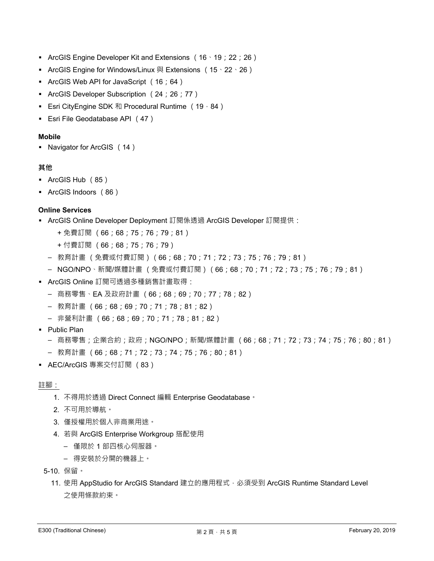- **•** ArcGIS Engine Developer Kit and Extensions ( $16 \cdot 19$ ; 22; 26)
- ArcGIS Engine for Windows/Linux 與 Extensions (15、22、26)
- ArcGIS Web API for JavaScript (16;64)
- **ArcGIS Developer Subscription (24; 26; 77)**
- Esri CityEngine SDK 和 Procedural Runtime (19,84)
- Esri File Geodatabase API (47)

### **Mobile**

▪ Navigator for ArcGIS (14)

## **其他**

- ArcGIS Hub (85)
- ArcGIS Indoors (86)

## **Online Services**

- ArcGIS Online Developer Deployment 訂閱係透過 ArcGIS Developer 訂閱提供:
	- + 免費訂閱 (66;68;75;76;79;81)
	- + 付費訂閱 (66;68;75;76;79)
	- 教育計畫 (免費或付費訂閱)(66;68;70;71;72;73;75;76;79;81)
	- NGO/NPO、新聞/媒體計畫 (免費或付費訂閱)(66;68;70;71;72;73;75;76;79;81)
- ArcGIS Online 訂閱可透過多種銷售計畫取得:
	- 商務零售、EA 及政府計畫 (66;68;69;70;77;78;82)
	- 教育計畫 (66;68;69;70;71;78;81;82)
	- 非營利計畫 (66;68;69;70;71;78;81;82)
- Public Plan
	- 商務零售;企業合約;政府;NGO/NPO;新聞/媒體計畫 (66;68;71;72;73;74;75;76;80;81)
	- 教育計畫 (66;68;71;72;73;74;75;76;80;81)
- AEC/ArcGIS 專案交付訂閱 (83)

### 註腳:

- 1. 不得用於透過 Direct Connect 編輯 Enterprise Geodatabase。
- 2. 不可用於導航。
- 3. 僅授權用於個人非商業用途。
- 4. 若與 ArcGIS Enterprise Workgroup 搭配使用
	- 僅限於 1 部四核心伺服器。
	- 得安裝於分開的機器上。
- 5-10. 保留。
	- 11. 使用 AppStudio for ArcGIS Standard 建立的應用程式, 必須受到 ArcGIS Runtime Standard Level 之使用條款約束。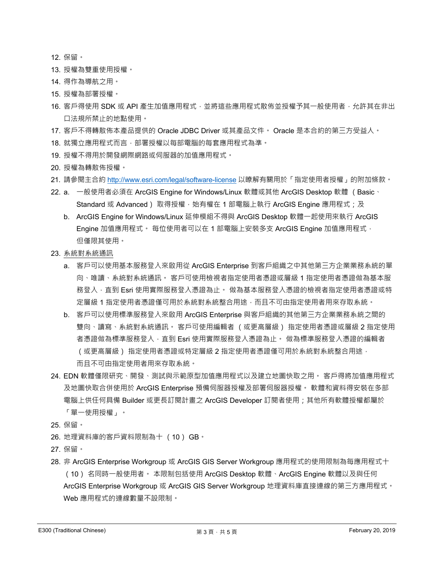- 12. 保留。
- 13. 授權為雙重使用授權。
- 14. 得作為導航之用。
- 15. 授權為部署授權。
- 16. 客戶得使用 SDK 或 API 產生加值應用程式, 並將這些應用程式散佈並授權予其一般使用者, 允許其在非出 口法規所禁止的地點使用。
- 17. 客戶不得轉散佈本產品提供的 Oracle JDBC Driver 或其產品文件。 Oracle 是本合約的第三方受益人。
- 18. 就獨立應用程式而言,部署授權以每部電腦的每套應用程式為準。
- 19. 授權不得用於開發網際網路或伺服器的加值應用程式。

20. 授權為轉散佈授權。

- 21. 請參閱主合約 http://www.esri.com/legal/software-license 以瞭解有關用於「指定使用者授權」的附加條款。
- 22. a. 一般使用者必須在 ArcGIS Engine for Windows/Linux 軟體或其他 ArcGIS Desktop 軟體 (Basic ・ Standard 或 Advanced) 取得授權 · 始有權在 1 部電腦上執行 ArcGIS Engine 應用程式;及
	- b. ArcGIS Engine for Windows/Linux 延伸模組不得與 ArcGIS Desktop 軟體一起使用來執行 ArcGIS Engine 加值應用程式。 每位使用者可以在 1 部電腦上安裝多支 ArcGIS Engine 加值應用程式, 但僅限其使用。
- 23. 系統對系統通訊
	- a. 客戶可以使用基本服務登入來啟用從 ArcGIS Enterprise 到客戶組織之中其他第三方企業業務系統的單 向、唯讀、系統對系統通訊。 客戶可使用檢視者指定使用者憑證或層級 1 指定使用者憑證做為基本服 務登入,直到 Esri 使用實際服務登入憑證為止。 做為基本服務登入憑證的檢視者指定使用者憑證或特 定層級 1 指定使用者憑證僅可用於系統對系統整合用途,而且不可由指定使用者用來存取系統。
	- b. 客戶可以使用標準服務登入來啟用 ArcGIS Enterprise 與客戶組織的其他第三方企業業務系統之間的 雙向、讀寫、系統對系統通訊。 客戶可使用編輯者 (或更高層級) 指定使用者憑證或層級 2 指定使用 者憑證做為標準服務登入,直到 Esri 使用實際服務登入憑證為止。 做為標準服務登入憑證的編輯者 (或更高層級) 指定使用者憑證或特定層級 2 指定使用者憑證僅可用於系統對系統整合用途, 而且不可由指定使用者用來存取系統。
- 24. EDN 軟體僅限研究、開發、測試與示範原型加值應用程式以及建立地圖快取之用。 客戶得將加值應用程式 及地圖快取合併使用於 ArcGIS Enterprise 預備伺服器授權及部署伺服器授權。 軟體和資料得安裝在多部 電腦上供任何具備 Builder 或更長訂閱計畫之 ArcGIS Developer 訂閱者使用;其他所有軟體授權都屬於 「單⼀使用授權」。
- 25. 保留。
- 26. 地理資料庫的客戶資料限制為十 (10) GB。
- 27. 保留。
- 28. 非 ArcGIS Enterprise Workgroup 或 ArcGIS GIS Server Workgroup 應用程式的使用限制為每應用程式十 (10) 名同時一般使用者。 本限制包括使用 ArcGIS Desktop 軟體、ArcGIS Engine 軟體以及與任何 ArcGIS Enterprise Workgroup 或 ArcGIS GIS Server Workgroup 地理資料庫直接連線的第三方應用程式。 Web 應用程式的連線數量不設限制。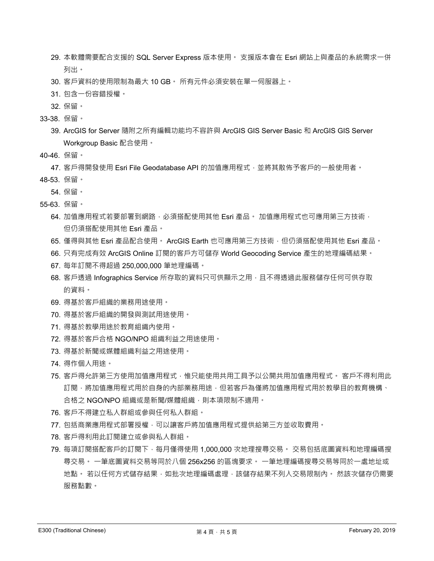- 29. 本軟體需要配合支援的 SQL Server Express 版本使用。 支援版本會在 Esri 網站上與產品的系統需求一併 列出。
- 30. 客戶資料的使用限制為最大 10 GB。 所有元件必須安裝在單一伺服器上。
- 31. 包含⼀份容錯授權。
- 32. 保留。
- 33-38. 保留。
	- 39. ArcGIS for Server 隨附之所有編輯功能均不容許與 ArcGIS GIS Server Basic 和 ArcGIS GIS Server Workgroup Basic 配合使用。
- 40-46. 保留。

47. 客戶得開發使用 Esri File Geodatabase API 的加值應用程式,並將其散佈予客戶的一般使用者。 48-53. 保留。

- 54. 保留。
- 55-63. 保留。
	- 64. 加值應用程式若要部署到網路 · 必須搭配使用其他 Esri 產品。 加值應用程式也可應用第三方技術 · 但仍須搭配使用其他 Esri 產品。
	- 65. 僅得與其他 Esri 產品配合使用。 ArcGIS Earth 也可應用第三方技術,但仍須搭配使用其他 Esri 產品。
	- 66. 只有完成有效 ArcGIS Online 訂閱的客戶方可儲存 World Geocoding Service 產⽣的地理編碼結果。
	- 67. 每年訂閱不得超過 250,000,000 筆地理編碼。
	- 68. 客戶透過 Infographics Service 所存取的資料只可供顯示之用,且不得透過此服務儲存任何可供存取 的資料。
	- 69. 得基於客戶組織的業務用途使用。
	- 70. 得基於客戶組織的開發與測試用途使用。
	- 71. 得基於教學用途於教育組織內使用。
	- 72. 得基於客戶合格 NGO/NPO 組織利益之用途使用。
	- 73. 得基於新聞或媒體組織利益之用途使用。
	- 74. 得作個人用途。
	- 75. 客戶得允許第三方使用加值應用程式,惟只能使用共用工具予以公開共用加值應用程式。 客戶不得利用此 訂閱,將加值應用程式用於自身的內部業務用途,但若客戶為僅將加值應用程式用於教學目的教育機構、 合格之 NGO/NPO 組織或是新聞/媒體組織,則本項限制不適用。
	- 76. 客戶不得建立私人群組或參與任何私人群組。
	- 77. 包括商業應用程式部署授權,可以讓客戶將加值應用程式提供給第三方並收取費用。
	- 78. 客戶得利用此訂閱建立或參與私人群組。
	- 79. 每項訂閱搭配客戶的訂閱下,每月僅得使用 1,000,000 次地理搜尋交易。 交易包括底圖資料和地理編碼搜 尋交易。 一筆底圖資料交易等同於八個 256x256 的區塊要求。 一筆地理編碼搜尋交易等同於一處地址或 地點。 若以任何方式儲存結果,如批次地理編碼處理,該儲存結果不列入交易限制內。 然該次儲存仍需要 服務點數。